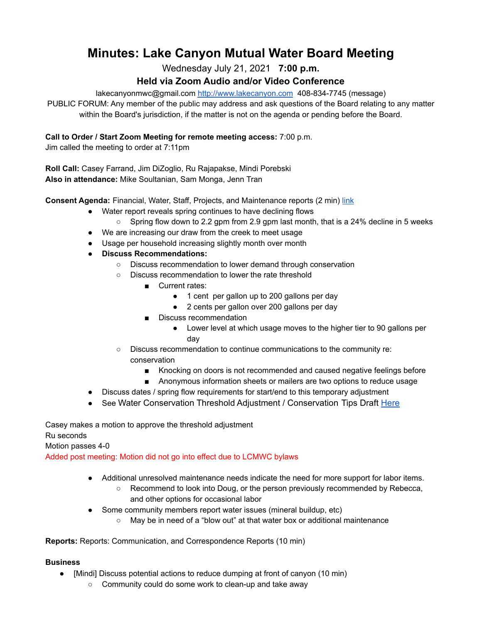# **Minutes: Lake Canyon Mutual Water Board Meeting**

Wednesday July 21, 2021 **7:00 p.m.**

## **Held via Zoom Audio and/or Video Conference**

lakecanyonmwc@gmail.com <http://www.lakecanyon.com> 408-834-7745 (message)

PUBLIC FORUM: Any member of the public may address and ask questions of the Board relating to any matter within the Board's jurisdiction, if the matter is not on the agenda or pending before the Board.

### **Call to Order / Start Zoom Meeting for remote meeting access:** 7:00 p.m.

Jim called the meeting to order at 7:11pm

**Roll Call:** Casey Farrand, Jim DiZoglio, Ru Rajapakse, Mindi Porebski **Also in attendance:** Mike Soultanian, Sam Monga, Jenn Tran

**Consent Agenda:** Financial, Water, Staff, Projects, and Maintenance reports (2 min) [link](https://7e761103-1889-4c62-a205-c99a02daa857.usrfiles.com/ugd/7e7611_2e793d5c99454edd904f542fbc716d3f.pdf)

- Water report reveals spring continues to have declining flows
	- $\circ$  Spring flow down to 2.2 gpm from 2.9 gpm last month, that is a 24% decline in 5 weeks
- We are increasing our draw from the creek to meet usage
- Usage per household increasing slightly month over month
- **● Discuss Recommendations:**
	- Discuss recommendation to lower demand through conservation
	- Discuss recommendation to lower the rate threshold
		- Current rates:
			- 1 cent per gallon up to 200 gallons per day
			- 2 cents per gallon over 200 gallons per day
		- Discuss recommendation
			- Lower level at which usage moves to the higher tier to 90 gallons per day
	- Discuss recommendation to continue communications to the community re: conservation
		- Knocking on doors is not recommended and caused negative feelings before
		- Anonymous information sheets or mailers are two options to reduce usage
- Discuss dates / spring flow requirements for start/end to this temporary adjustment
- See Water Conservation Threshold Adjustment / Conservation Tips Draft [Here](https://7e761103-1889-4c62-a205-c99a02daa857.usrfiles.com/ugd/7e7611_c8e6dfb179164571aafcea23f7dfec1b.docx)

Casey makes a motion to approve the threshold adjustment

Ru seconds

Motion passes 4-0

Added post meeting: Motion did not go into effect due to LCMWC bylaws

- Additional unresolved maintenance needs indicate the need for more support for labor items.
	- Recommend to look into Doug, or the person previously recommended by Rebecca, and other options for occasional labor
- Some community members report water issues (mineral buildup, etc)
	- May be in need of a "blow out" at that water box or additional maintenance

**Reports:** Reports: Communication, and Correspondence Reports (10 min)

#### **Business**

- [Mindi] Discuss potential actions to reduce dumping at front of canyon (10 min)
	- Community could do some work to clean-up and take away